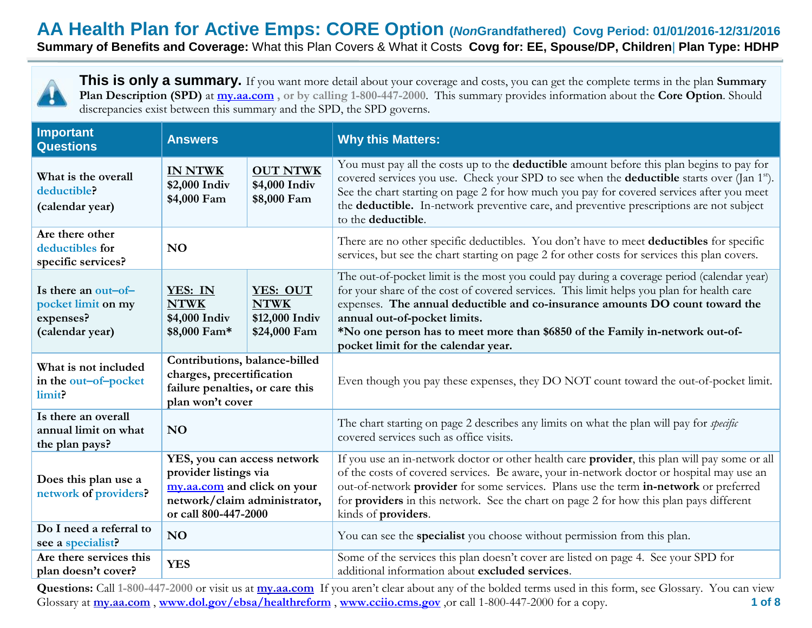**Summary of Benefits and Coverage:** What this Plan Covers & What it Costs **Covg for: EE, Spouse/DP, Children**| **Plan Type: HDHP**



**This is only a summary.** If you want more detail about your coverage and costs, you can get the complete terms in the plan **Summary Plan Description (SPD)** at **[my.aa.com](http://my.aa.com/) , or by calling 1-800-447-2000**. This summary provides information about the **Core Option**. Should discrepancies exist between this summary and the SPD, the SPD governs.

| <b>Important</b><br><b>Questions</b>                                                                                                                                                         | <b>Answers</b>                                                                                    |                                                           | <b>Why this Matters:</b>                                                                                                                                                                                                                                                                                                                                                                                                          |  |
|----------------------------------------------------------------------------------------------------------------------------------------------------------------------------------------------|---------------------------------------------------------------------------------------------------|-----------------------------------------------------------|-----------------------------------------------------------------------------------------------------------------------------------------------------------------------------------------------------------------------------------------------------------------------------------------------------------------------------------------------------------------------------------------------------------------------------------|--|
| What is the overall<br>deductible?<br>(calendar year)                                                                                                                                        | <b>OUT NTWK</b><br><b>IN NTWK</b><br>\$2,000 Indiv<br>\$4,000 Indiv<br>\$8,000 Fam<br>\$4,000 Fam |                                                           | You must pay all the costs up to the <b>deductible</b> amount before this plan begins to pay for<br>covered services you use. Check your SPD to see when the <b>deductible</b> starts over (Jan 1 <sup>st</sup> ).<br>See the chart starting on page 2 for how much you pay for covered services after you meet<br>the deductible. In-network preventive care, and preventive prescriptions are not subject<br>to the deductible. |  |
| Are there other<br>deductibles for<br>specific services?                                                                                                                                     | <b>NO</b>                                                                                         |                                                           | There are no other specific deductibles. You don't have to meet deductibles for specific<br>services, but see the chart starting on page 2 for other costs for services this plan covers.                                                                                                                                                                                                                                         |  |
| Is there an out-of-<br>pocket limit on my<br>expenses?<br>(calendar year)                                                                                                                    | YES: IN<br><b>NTWK</b><br>\$4,000 Indiv<br>\$8,000 Fam*                                           | YES: OUT<br><b>NTWK</b><br>\$12,000 Indiv<br>\$24,000 Fam | The out-of-pocket limit is the most you could pay during a coverage period (calendar year)<br>for your share of the cost of covered services. This limit helps you plan for health care<br>expenses. The annual deductible and co-insurance amounts DO count toward the<br>annual out-of-pocket limits.<br>*No one person has to meet more than \$6850 of the Family in-network out-of-<br>pocket limit for the calendar year.    |  |
| Contributions, balance-billed<br>What is not included<br>charges, precertification<br>in the out-of-pocket<br>failure penalties, or care this<br>limit?<br>plan won't cover                  |                                                                                                   |                                                           | Even though you pay these expenses, they DO NOT count toward the out-of-pocket limit.                                                                                                                                                                                                                                                                                                                                             |  |
| Is there an overall<br>annual limit on what<br><b>NO</b><br>the plan pays?                                                                                                                   |                                                                                                   |                                                           | The chart starting on page 2 describes any limits on what the plan will pay for specific<br>covered services such as office visits.                                                                                                                                                                                                                                                                                               |  |
| YES, you can access network<br>provider listings via<br>Does this plan use a<br>my.aa.com and click on your<br>network of providers?<br>network/claim administrator,<br>or call 800-447-2000 |                                                                                                   |                                                           | If you use an in-network doctor or other health care provider, this plan will pay some or all<br>of the costs of covered services. Be aware, your in-network doctor or hospital may use an<br>out-of-network provider for some services. Plans use the term in-network or preferred<br>for <b>providers</b> in this network. See the chart on page 2 for how this plan pays different<br>kinds of providers.                      |  |
| Do I need a referral to<br>see a specialist?                                                                                                                                                 | N <sub>O</sub>                                                                                    |                                                           | You can see the specialist you choose without permission from this plan.                                                                                                                                                                                                                                                                                                                                                          |  |
| Are there services this<br>plan doesn't cover?                                                                                                                                               | <b>YES</b>                                                                                        |                                                           | Some of the services this plan doesn't cover are listed on page 4. See your SPD for<br>additional information about excluded services.                                                                                                                                                                                                                                                                                            |  |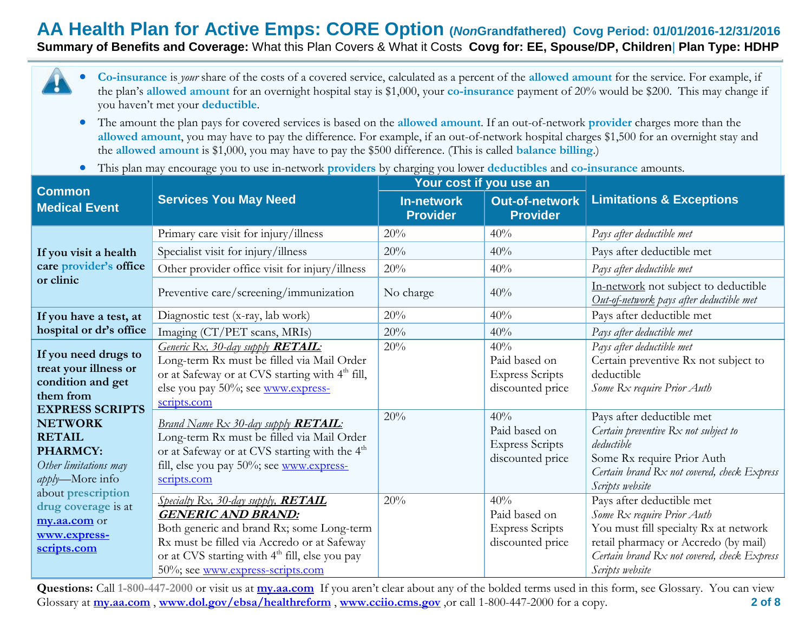**Summary of Benefits and Coverage:** What this Plan Covers & What it Costs **Covg for: EE, Spouse/DP, Children**| **Plan Type: HDHP**



- The amount the plan pays for covered services is based on the **allowed amount**. If an out-of-network **provider** charges more than the **allowed amount**, you may have to pay the difference. For example, if an out-of-network hospital charges \$1,500 for an overnight stay and the **allowed amount** is \$1,000, you may have to pay the \$500 difference. (This is called **balance billing**.)
- This plan may encourage you to use in-network **providers** by charging you lower **deductibles** and **co-insurance** amounts.

| <b>Common</b>                                                                                             |                                                                                                                                                                                                                                                                       | Your cost if you use an              |                                                                    |                                                                                                                                                                                                            |  |
|-----------------------------------------------------------------------------------------------------------|-----------------------------------------------------------------------------------------------------------------------------------------------------------------------------------------------------------------------------------------------------------------------|--------------------------------------|--------------------------------------------------------------------|------------------------------------------------------------------------------------------------------------------------------------------------------------------------------------------------------------|--|
| <b>Medical Event</b>                                                                                      | <b>Services You May Need</b>                                                                                                                                                                                                                                          | <b>In-network</b><br><b>Provider</b> | <b>Out-of-network</b><br><b>Provider</b>                           | <b>Limitations &amp; Exceptions</b>                                                                                                                                                                        |  |
|                                                                                                           | Primary care visit for injury/illness                                                                                                                                                                                                                                 | 20%                                  | 40%                                                                | Pays after deductible met                                                                                                                                                                                  |  |
| If you visit a health                                                                                     | Specialist visit for injury/illness                                                                                                                                                                                                                                   | 20%                                  | 40%                                                                | Pays after deductible met                                                                                                                                                                                  |  |
| care provider's office                                                                                    | Other provider office visit for injury/illness                                                                                                                                                                                                                        | 20%                                  | 40%                                                                | Pays after deductible met                                                                                                                                                                                  |  |
| or clinic                                                                                                 | Preventive care/screening/immunization                                                                                                                                                                                                                                | No charge                            | 40%                                                                | In-network not subject to deductible<br>Out-of-network pays after deductible met                                                                                                                           |  |
| If you have a test, at                                                                                    | Diagnostic test (x-ray, lab work)                                                                                                                                                                                                                                     | 20%                                  | 40%                                                                | Pays after deductible met                                                                                                                                                                                  |  |
| hospital or dr's office                                                                                   | Imaging (CT/PET scans, MRIs)                                                                                                                                                                                                                                          | 20%                                  | 40%                                                                | Pays after deductible met                                                                                                                                                                                  |  |
| If you need drugs to<br>treat your illness or<br>condition and get<br>them from<br><b>EXPRESS SCRIPTS</b> | Generic Rx, 30-day supply <b>RETAIL</b> :<br>Long-term Rx must be filled via Mail Order<br>or at Safeway or at CVS starting with 4 <sup>th</sup> fill,<br>else you pay 50%; see www.express-<br>scripts.com                                                           | 20%                                  | 40%<br>Paid based on<br><b>Express Scripts</b><br>discounted price | Pays after deductible met<br>Certain preventive Rx not subject to<br>deductible<br>Some Rx require Prior Auth                                                                                              |  |
| <b>NETWORK</b><br><b>RETAIL</b><br><b>PHARMCY:</b><br>Other limitations may<br>apply-More info            | <b>Brand Name Rx 30-day supply RETAIL:</b><br>Long-term Rx must be filled via Mail Order<br>or at Safeway or at CVS starting with the 4 <sup>th</sup><br>fill, else you pay 50%; see www.express-<br>scripts.com                                                      | 20%                                  | 40%<br>Paid based on<br><b>Express Scripts</b><br>discounted price | Pays after deductible met<br>Certain preventive Rx not subject to<br>deductible<br>Some Rx require Prior Auth<br>Certain brand Rx not covered, check Express<br>Scripts website                            |  |
| about prescription<br>drug coverage is at<br>my.aa.com or<br>www.express-<br>scripts.com                  | Specialty Rx, 30-day supply, <b>RETAIL</b><br><b>GENERIC AND BRAND:</b><br>Both generic and brand Rx; some Long-term<br>Rx must be filled via Accredo or at Safeway<br>or at CVS starting with 4 <sup>th</sup> fill, else you pay<br>50%; see www.express-scripts.com | 20%                                  | 40%<br>Paid based on<br><b>Express Scripts</b><br>discounted price | Pays after deductible met<br>Some Rx require Prior Auth<br>You must fill specialty Rx at network<br>retail pharmacy or Accredo (by mail)<br>Certain brand Rx not covered, check Express<br>Scripts website |  |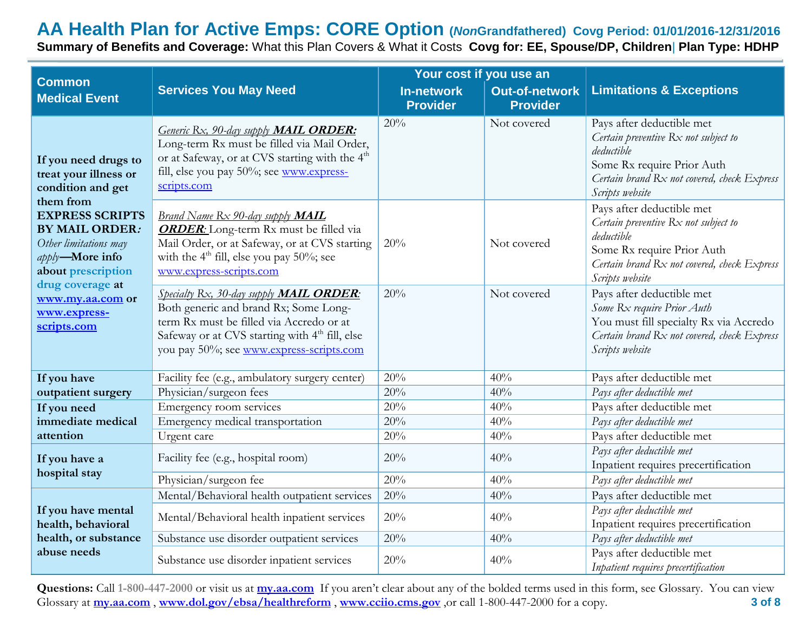**Summary of Benefits and Coverage:** What this Plan Covers & What it Costs **Covg for: EE, Spouse/DP, Children**| **Plan Type: HDHP**

| Your cost if you use an<br><b>Common</b>                                                                                              |                                                                                                                                                                                                                                                |                                      |                                          |                                                                                                                                                                                 |
|---------------------------------------------------------------------------------------------------------------------------------------|------------------------------------------------------------------------------------------------------------------------------------------------------------------------------------------------------------------------------------------------|--------------------------------------|------------------------------------------|---------------------------------------------------------------------------------------------------------------------------------------------------------------------------------|
| <b>Medical Event</b>                                                                                                                  | <b>Services You May Need</b>                                                                                                                                                                                                                   | <b>In-network</b><br><b>Provider</b> | <b>Out-of-network</b><br><b>Provider</b> | <b>Limitations &amp; Exceptions</b>                                                                                                                                             |
| If you need drugs to<br>treat your illness or<br>condition and get<br>them from                                                       | Generic Rx, 90-day supply <b>MAIL ORDER</b> :<br>Long-term Rx must be filled via Mail Order,<br>or at Safeway, or at CVS starting with the 4 <sup>th</sup><br>fill, else you pay 50%; see www.express-<br>scripts.com                          | 20%                                  | Not covered                              | Pays after deductible met<br>Certain preventive Rx not subject to<br>deductible<br>Some Rx require Prior Auth<br>Certain brand Rx not covered, check Express<br>Scripts website |
| <b>EXPRESS SCRIPTS</b><br><b>BY MAIL ORDER:</b><br>Other limitations may<br>apply-More info<br>about prescription<br>drug coverage at | <b>Brand Name Rx 90-day supply MAIL</b><br><b>ORDER:</b> Long-term Rx must be filled via<br>Mail Order, or at Safeway, or at CVS starting<br>with the $4th$ fill, else you pay 50%; see<br>www.express-scripts.com                             | 20%                                  | Not covered                              | Pays after deductible met<br>Certain preventive Rx not subject to<br>deductible<br>Some Rx require Prior Auth<br>Certain brand Rx not covered, check Express<br>Scripts website |
| www.my.aa.com or<br>www.express-<br>scripts.com                                                                                       | Specialty Rx, 30-day supply <b>MAIL ORDER</b> :<br>Both generic and brand Rx; Some Long-<br>term Rx must be filled via Accredo or at<br>Safeway or at CVS starting with 4 <sup>th</sup> fill, else<br>you pay 50%; see www.express-scripts.com | 20%                                  | Not covered                              | Pays after deductible met<br>Some Rx require Prior Auth<br>You must fill specialty Rx via Accredo<br>Certain brand Rx not covered, check Express<br>Scripts website             |
| If you have                                                                                                                           | Facility fee (e.g., ambulatory surgery center)                                                                                                                                                                                                 | 20%                                  | 40%                                      | Pays after deductible met                                                                                                                                                       |
| outpatient surgery                                                                                                                    | Physician/surgeon fees                                                                                                                                                                                                                         | 20%                                  | 40%                                      | Pays after deductible met                                                                                                                                                       |
| If you need                                                                                                                           | Emergency room services                                                                                                                                                                                                                        | 20%                                  | 40%                                      | Pays after deductible met                                                                                                                                                       |
| immediate medical                                                                                                                     | Emergency medical transportation                                                                                                                                                                                                               | 20%                                  | 40%                                      | Pays after deductible met                                                                                                                                                       |
| attention                                                                                                                             | Urgent care                                                                                                                                                                                                                                    | 20%                                  | 40%                                      | Pays after deductible met                                                                                                                                                       |
| If you have a<br>hospital stay                                                                                                        | Facility fee (e.g., hospital room)                                                                                                                                                                                                             | 20%                                  | 40%                                      | Pays after deductible met<br>Inpatient requires precertification                                                                                                                |
|                                                                                                                                       | Physician/surgeon fee                                                                                                                                                                                                                          | 20%                                  | 40%                                      | Pays after deductible met                                                                                                                                                       |
|                                                                                                                                       | Mental/Behavioral health outpatient services                                                                                                                                                                                                   | 20%                                  | 40%                                      | Pays after deductible met                                                                                                                                                       |
| If you have mental<br>health, behavioral                                                                                              | Mental/Behavioral health inpatient services                                                                                                                                                                                                    | 20%                                  | 40%                                      | Pays after deductible met<br>Inpatient requires precertification                                                                                                                |
| health, or substance                                                                                                                  | Substance use disorder outpatient services                                                                                                                                                                                                     | 20%                                  | 40%                                      | Pays after deductible met                                                                                                                                                       |
| abuse needs                                                                                                                           | Substance use disorder inpatient services                                                                                                                                                                                                      | 20%                                  | 40%                                      | Pays after deductible met<br>Inpatient requires precertification                                                                                                                |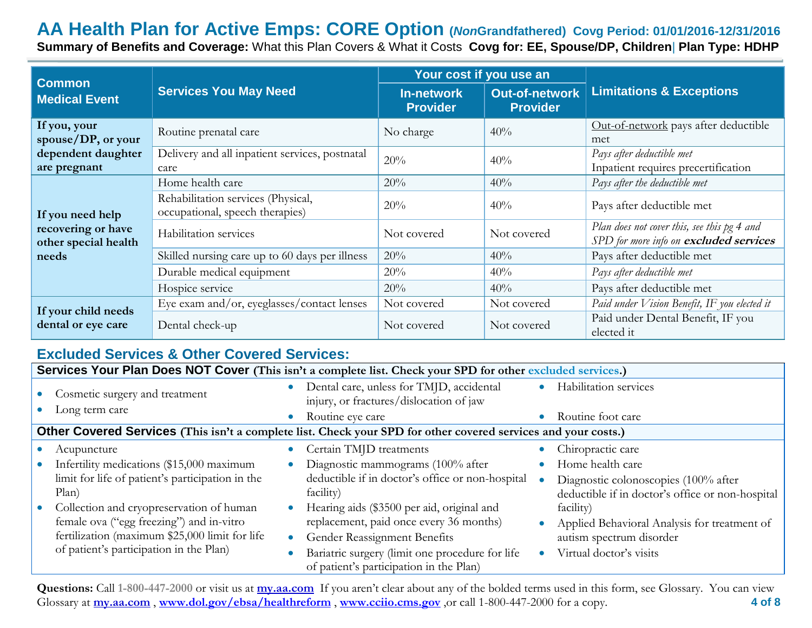## **AA Health Plan for Active Emps: CORE Option (***Non***Grandfathered) Covg Period: 01/01/2016-12/31/2016 Summary of Benefits and Coverage:** What this Plan Covers & What it Costs **Covg for: EE, Spouse/DP, Children**| **Plan Type: HDHP**

| <b>Common</b>                                        |                                                                       | Your cost if you use an              |                                          |                                                                                       |  |
|------------------------------------------------------|-----------------------------------------------------------------------|--------------------------------------|------------------------------------------|---------------------------------------------------------------------------------------|--|
| <b>Services You May Need</b><br><b>Medical Event</b> |                                                                       | <b>In-network</b><br><b>Provider</b> | <b>Out-of-network</b><br><b>Provider</b> | <b>Limitations &amp; Exceptions</b>                                                   |  |
| If you, your<br>spouse/DP, or your                   | Routine prenatal care                                                 | No charge                            | 40%                                      | Out-of-network pays after deductible<br>met                                           |  |
| dependent daughter<br>are pregnant                   | Delivery and all inpatient services, postnatal<br>care                | 20%                                  | 40%                                      | Pays after deductible met<br>Inpatient requires precertification                      |  |
|                                                      | Home health care                                                      | 20%                                  | 40%                                      | Pays after the deductible met                                                         |  |
| If you need help                                     | Rehabilitation services (Physical,<br>occupational, speech therapies) | 20%                                  | 40%                                      | Pays after deductible met                                                             |  |
| recovering or have<br>other special health           | Habilitation services                                                 | Not covered                          | Not covered                              | Plan does not cover this, see this pg 4 and<br>SPD for more info on excluded services |  |
| needs                                                | Skilled nursing care up to 60 days per illness                        | 20%                                  | 40%                                      | Pays after deductible met                                                             |  |
|                                                      | Durable medical equipment                                             | 20%                                  | 40%                                      | Pays after deductible met                                                             |  |
|                                                      | Hospice service                                                       | 20%                                  | 40%                                      | Pays after deductible met                                                             |  |
| If your child needs                                  | Eye exam and/or, eyeglasses/contact lenses                            | Not covered                          | Not covered                              | Paid under Vision Benefit, IF you elected it                                          |  |
| dental or eye care                                   | Dental check-up                                                       | Not covered                          | Not covered                              | Paid under Dental Benefit, IF you<br>elected it                                       |  |

## **Excluded Services & Other Covered Services:**

|                                                                                                                | Services Your Plan Does NOT Cover (This isn't a complete list. Check your SPD for other excluded services.)                                                                       |           |                                                                                                                                                                                                                     |           |                                                                                                                  |  |
|----------------------------------------------------------------------------------------------------------------|-----------------------------------------------------------------------------------------------------------------------------------------------------------------------------------|-----------|---------------------------------------------------------------------------------------------------------------------------------------------------------------------------------------------------------------------|-----------|------------------------------------------------------------------------------------------------------------------|--|
|                                                                                                                | Cosmetic surgery and treatment                                                                                                                                                    |           | Dental care, unless for TMJD, accidental<br>injury, or fractures/dislocation of jaw                                                                                                                                 |           | Habilitation services                                                                                            |  |
|                                                                                                                | Long term care                                                                                                                                                                    | $\bullet$ | Routine eye care                                                                                                                                                                                                    |           | Routine foot care                                                                                                |  |
| Other Covered Services (This isn't a complete list. Check your SPD for other covered services and your costs.) |                                                                                                                                                                                   |           |                                                                                                                                                                                                                     |           |                                                                                                                  |  |
|                                                                                                                | Acupuncture                                                                                                                                                                       |           | Certain TMJD treatments                                                                                                                                                                                             |           | Chiropractic care                                                                                                |  |
|                                                                                                                | Infertility medications (\$15,000 maximum<br>limit for life of patient's participation in the<br>Plan)                                                                            |           | Diagnostic mammograms (100% after<br>deductible if in doctor's office or non-hospital<br>facility)                                                                                                                  |           | Home health care<br>Diagnostic colonoscopies (100% after<br>deductible if in doctor's office or non-hospital     |  |
|                                                                                                                | Collection and cryopreservation of human<br>female ova ("egg freezing") and in-vitro<br>fertilization (maximum \$25,000 limit for life<br>of patient's participation in the Plan) | $\bullet$ | Hearing aids (\$3500 per aid, original and<br>replacement, paid once every 36 months)<br>Gender Reassignment Benefits<br>Bariatric surgery (limit one procedure for life<br>of patient's participation in the Plan) | $\bullet$ | facility)<br>Applied Behavioral Analysis for treatment of<br>autism spectrum disorder<br>Virtual doctor's visits |  |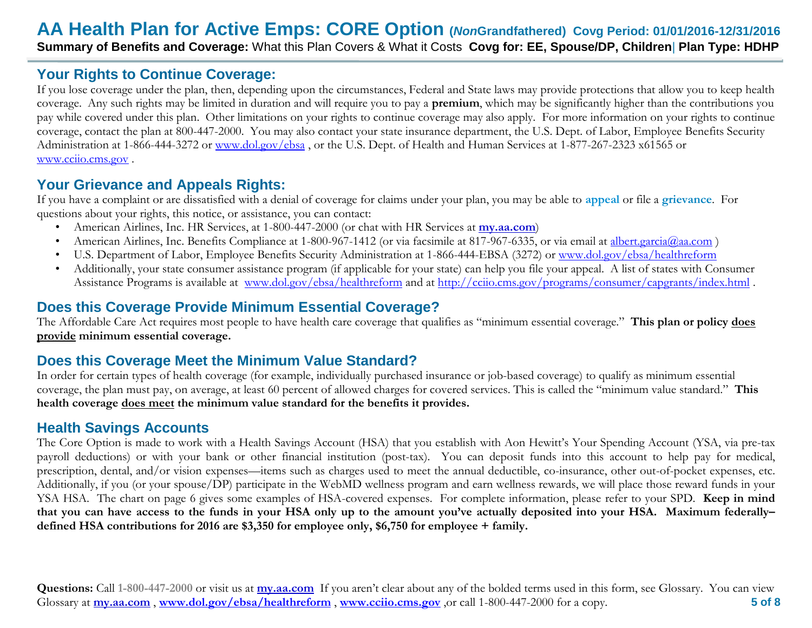# **Your Rights to Continue Coverage:**

If you lose coverage under the plan, then, depending upon the circumstances, Federal and State laws may provide protections that allow you to keep health coverage. Any such rights may be limited in duration and will require you to pay a **premium**, which may be significantly higher than the contributions you pay while covered under this plan. Other limitations on your rights to continue coverage may also apply. For more information on your rights to continue coverage, contact the plan at 800-447-2000. You may also contact your state insurance department, the U.S. Dept. of Labor, Employee Benefits Security Administration at 1-866-444-3272 or [www.dol.gov/ebsa](http://www.dol.gov/ebsa), or the U.S. Dept. of Health and Human Services at 1-877-267-2323 x61565 or [www.cciio.cms.gov](http://www.cciio.cms.gov/) .

# **Your Grievance and Appeals Rights:**

If you have a complaint or are dissatisfied with a denial of coverage for claims under your plan, you may be able to **appeal** or file a **grievance**. For questions about your rights, this notice, or assistance, you can contact:

- American Airlines, Inc. HR Services, at 1-800-447-2000 (or chat with HR Services at **my.aa.com**)
- American Airlines, Inc. Benefits Compliance at 1-800-967-1412 (or via facsimile at 817-967-6335, or via email at [albert.garcia@aa.com](mailto:albert.garcia@aa.com))
- U.S. Department of Labor, Employee Benefits Security Administration at 1-866-444-EBSA (3272) or [www.dol.gov/ebsa/healthreform](http://www.dol.gov/ebsa/healthreform)
- Additionally, your state consumer assistance program (if applicable for your state) can help you file your appeal. A list of states with Consumer Assistance Programs is available at [www.dol.gov/ebsa/healthreform](http://www.dol.gov/ebsa/healthreform) and at<http://cciio.cms.gov/programs/consumer/capgrants/index.html> .

# **Does this Coverage Provide Minimum Essential Coverage?**

The Affordable Care Act requires most people to have health care coverage that qualifies as "minimum essential coverage." **This plan or policy does provide minimum essential coverage.** 

# **Does this Coverage Meet the Minimum Value Standard?**

In order for certain types of health coverage (for example, individually purchased insurance or job-based coverage) to qualify as minimum essential coverage, the plan must pay, on average, at least 60 percent of allowed charges for covered services. This is called the "minimum value standard." **This health coverage does meet the minimum value standard for the benefits it provides.** 

# **Health Savings Accounts**

The Core Option is made to work with a Health Savings Account (HSA) that you establish with Aon Hewitt's Your Spending Account (YSA, via pre-tax payroll deductions) or with your bank or other financial institution (post-tax). You can deposit funds into this account to help pay for medical, prescription, dental, and/or vision expenses—items such as charges used to meet the annual deductible, co-insurance, other out-of-pocket expenses, etc. Additionally, if you (or your spouse/DP) participate in the WebMD wellness program and earn wellness rewards, we will place those reward funds in your YSA HSA. The chart on page 6 gives some examples of HSA-covered expenses. For complete information, please refer to your SPD. **Keep in mind that you can have access to the funds in your HSA only up to the amount you've actually deposited into your HSA. Maximum federally– defined HSA contributions for 2016 are \$3,350 for employee only, \$6,750 for employee + family.**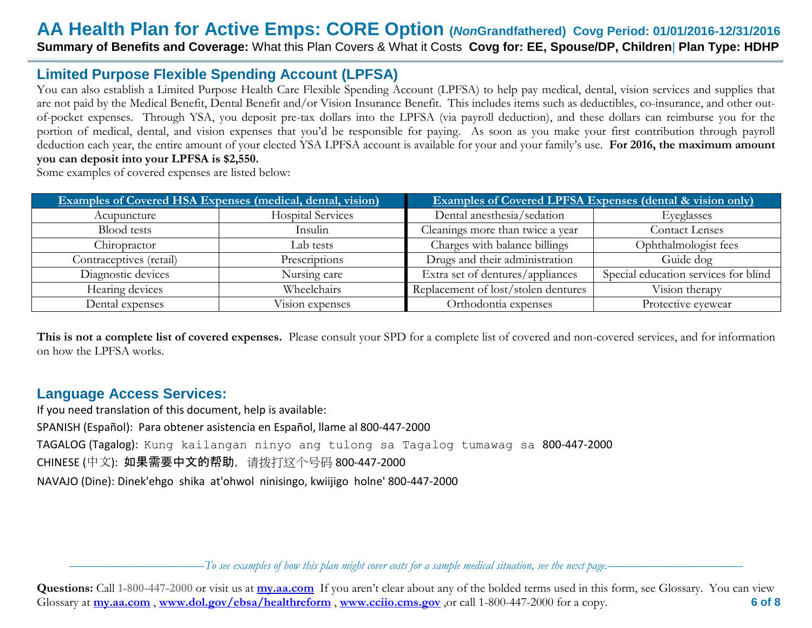**Summary of Benefits and Coverage:** What this Plan Covers & What it Costs **Covg for: EE, Spouse/DP, Children**| **Plan Type: HDHP**

### **Limited Purpose Flexible Spending Account (LPFSA)**

You can also establish a Limited Purpose Health Care Flexible Spending Account (LPFSA) to help pay medical, dental, vision services and supplies that are not paid by the Medical Benefit, Dental Benefit and/or Vision Insurance Benefit. This includes items such as deductibles, co-insurance, and other outof-pocket expenses. Through YSA, you deposit pre-tax dollars into the LPFSA (via payroll deduction), and these dollars can reimburse you for the portion of medical, dental, and vision expenses that you'd be responsible for paying. As soon as you make your first contribution through payroll deduction each year, the entire amount of your elected YSA LPFSA account is available for your and your family's use. **For 2016, the maximum amount you can deposit into your LPFSA is \$2,550.**

Some examples of covered expenses are listed below:

|                         | <b>Examples of Covered HSA Expenses (medical, dental, vision)</b> | <b>Examples of Covered LPFSA Expenses (dental &amp; vision only)</b> |                                      |  |
|-------------------------|-------------------------------------------------------------------|----------------------------------------------------------------------|--------------------------------------|--|
| Acupuncture             | <b>Hospital Services</b>                                          | Dental anesthesia/sedation                                           | Eyeglasses                           |  |
| <b>Blood</b> tests      | Insulin                                                           | Cleanings more than twice a year                                     | <b>Contact Lenses</b>                |  |
| Chiropractor            | Lab tests                                                         | Charges with balance billings                                        | Ophthalmologist fees                 |  |
| Contraceptives (retail) | Prescriptions                                                     | Drugs and their administration                                       | Guide dog                            |  |
| Diagnostic devices      | Nursing care                                                      | Extra set of dentures/appliances                                     | Special education services for blind |  |
| Hearing devices         | Wheelchairs                                                       | Replacement of lost/stolen dentures                                  | Vision therapy                       |  |
| Dental expenses         | Vision expenses                                                   | Orthodontia expenses                                                 | Protective eyewear                   |  |

**This is not a complete list of covered expenses.** Please consult your SPD for a complete list of covered and non-covered services, and for information on how the LPFSA works.

### **Language Access Services:**

If you need translation of this document, help is available: SPANISH (Español): Para obtener asistencia en Español, llame al 800-447-2000 TAGALOG (Tagalog): Kung kailangan ninyo ang tulong sa Tagalog tumawag sa 800-447-2000 CHINESE (中文): 如果需要中文的帮助,请拨打这个号码 800-447-2000 NAVAJO (Dine): Dinek'ehgo shika at'ohwol ninisingo, kwiijigo holne' 800-447-2000

––––––––––––––––––––––*To see examples of how this plan might cover costs for a sample medical situation, see the next page.–––––––––––*–––––––––––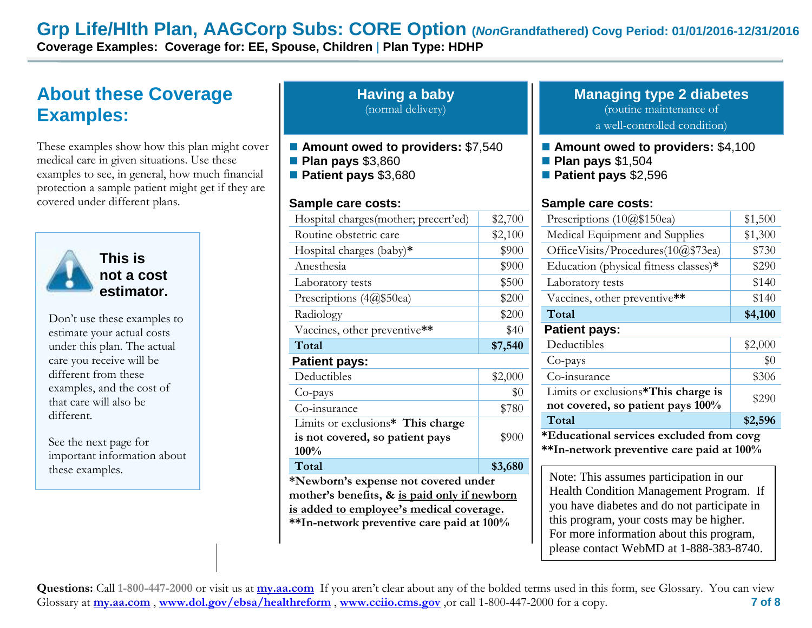# **Grp Life/Hlth Plan, AAGCorp Subs: CORE Option (***Non***Grandfathered) Covg Period: 01/01/2016-12/31/2016**

**Coverage Examples: Coverage for: EE, Spouse, Children** | **Plan Type: HDHP**

# **About these Coverage Examples:**

These examples show how this plan might cover medical care in given situations. Use these examples to see, in general, how much financial protection a sample patient might get if they are covered under different plans.



**Having a baby** (normal delivery)

- Amount owed to providers: \$7,540
- **Plan pays** \$3,860
- **Patient pays** \$3,680

#### **Sample care costs:**

|                             | Hospital charges (mother; precert'ed)                                                                                                                                         | \$2,700 | Prescriptions $(10@$150ea)$                                                                                                                                                  |  |
|-----------------------------|-------------------------------------------------------------------------------------------------------------------------------------------------------------------------------|---------|------------------------------------------------------------------------------------------------------------------------------------------------------------------------------|--|
|                             | Routine obstetric care                                                                                                                                                        | \$2,100 | Medical Equipment and Supplies                                                                                                                                               |  |
|                             | Hospital charges (baby)*                                                                                                                                                      | \$900   | OfficeVisits/Procedures(10@\$73ea)                                                                                                                                           |  |
| This is                     | Anesthesia                                                                                                                                                                    | \$900   | Education (physical fitness classes)*                                                                                                                                        |  |
| not a cost                  | Laboratory tests                                                                                                                                                              | \$500   | Laboratory tests                                                                                                                                                             |  |
| estimator.                  | Prescriptions (4@\$50ea)                                                                                                                                                      | \$200   | Vaccines, other preventive**                                                                                                                                                 |  |
| Don't use these examples to | Radiology                                                                                                                                                                     | \$200   | Total                                                                                                                                                                        |  |
| estimate your actual costs  | Vaccines, other preventive**                                                                                                                                                  | \$40    | <b>Patient pays:</b>                                                                                                                                                         |  |
| under this plan. The actual | Total                                                                                                                                                                         | \$7,540 | Deductibles                                                                                                                                                                  |  |
| care you receive will be    | <b>Patient pays:</b>                                                                                                                                                          |         | Co-pays                                                                                                                                                                      |  |
| different from these        | Deductibles                                                                                                                                                                   | \$2,000 | Co-insurance                                                                                                                                                                 |  |
| examples, and the cost of   | Co-pays                                                                                                                                                                       | \$0     | Limits or exclusions*This charge is                                                                                                                                          |  |
| that care will also be      | Co-insurance                                                                                                                                                                  | \$780   | not covered, so patient pays 100%                                                                                                                                            |  |
| different.                  | Limits or exclusions* This charge                                                                                                                                             |         | Total                                                                                                                                                                        |  |
| See the next page for       | is not covered, so patient pays                                                                                                                                               | \$900   | *Educational services excluded from co                                                                                                                                       |  |
| important information about | 100%                                                                                                                                                                          |         | **In-network preventive care paid at 10                                                                                                                                      |  |
| these examples.             | Total                                                                                                                                                                         | \$3,680 |                                                                                                                                                                              |  |
|                             | *Newborn's expense not covered under<br>mother's benefits, & is paid only if newborn<br>is added to employee's medical coverage.<br>**In-network preventive care paid at 100% |         | Note: This assumes participation in our<br><b>Health Condition Management Program</b><br>you have diabetes and do not participate<br>this program, your costs may be higher. |  |
|                             |                                                                                                                                                                               |         | For more information about this program                                                                                                                                      |  |

#### **Managing type 2 diabetes** (routine maintenance of a well-controlled condition)

- **Amount owed to providers: \$4,100**
- **Plan pays** \$1,504
- **Patient pays** \$2,596

#### **Sample care costs:**

| Prescriptions $(10@$150ea)$                                              | \$1,500 |  |  |
|--------------------------------------------------------------------------|---------|--|--|
| Medical Equipment and Supplies                                           | \$1,300 |  |  |
| OfficeVisits/Procedures( $10@$73ea$ )                                    | \$730   |  |  |
| Education (physical fitness classes)*                                    | \$290   |  |  |
| Laboratory tests                                                         | \$140   |  |  |
| Vaccines, other preventive**                                             | \$140   |  |  |
| Total                                                                    | \$4,100 |  |  |
| <b>Patient pays:</b>                                                     |         |  |  |
| Deductibles                                                              | \$2,000 |  |  |
| Co-pays                                                                  | $\$0$   |  |  |
| Co-insurance                                                             | \$306   |  |  |
| Limits or exclusions*This charge is<br>not covered, so patient pays 100% | \$290   |  |  |
| Total                                                                    | \$2,596 |  |  |
| *Educational services excluded from covg                                 |         |  |  |

**\*\*In-network preventive care paid at 100%**

Health Condition Management Program. If you have diabetes and do not participate in this program, your costs may be higher. For more information about this program, please contact WebMD at 1-888-383-8740.